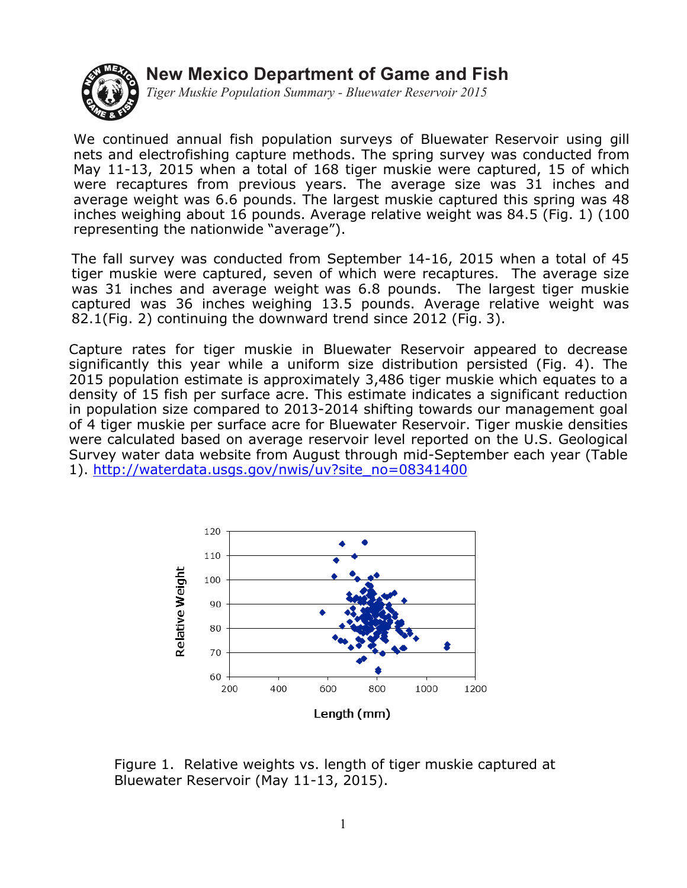## **New Mexico Department of Game and Fish**



*Tiger Muskie Population Summary - Bluewater Reservoir 2015*

We continued annual fish population surveys of Bluewater Reservoir using gill nets and electrofishing capture methods. The spring survey was conducted from May 11-13, 2015 when a total of 168 tiger muskie were captured, 15 of which were recaptures from previous years. The average size was 31 inches and average weight was 6.6 pounds. The largest muskie captured this spring was 48 inches weighing about 16 pounds. Average relative weight was 84.5 (Fig. 1) (100 representing the nationwide "average").

The fall survey was conducted from September 14-16, 2015 when a total of 45 tiger muskie were captured, seven of which were recaptures. The average size was 31 inches and average weight was 6.8 pounds. The largest tiger muskie captured was 36 inches weighing 13.5 pounds. Average relative weight was 82.1(Fig. 2) continuing the downward trend since 2012 (Fig. 3).

Capture rates for tiger muskie in Bluewater Reservoir appeared to decrease significantly this year while a uniform size distribution persisted (Fig. 4). The 2015 population estimate is approximately 3,486 tiger muskie which equates to a density of 15 fish per surface acre. This estimate indicates a significant reduction in population size compared to 2013-2014 shifting towards our management goal of 4 tiger muskie per surface acre for Bluewater Reservoir. Tiger muskie densities were calculated based on average reservoir level reported on the U.S. Geological Survey water data website from August through mid-September each year (Table 1). http://waterdata.usgs.gov/nwis/uv?site\_no=08341400



Figure 1. Relative weights vs. length of tiger muskie captured at Bluewater Reservoir (May 11-13, 2015).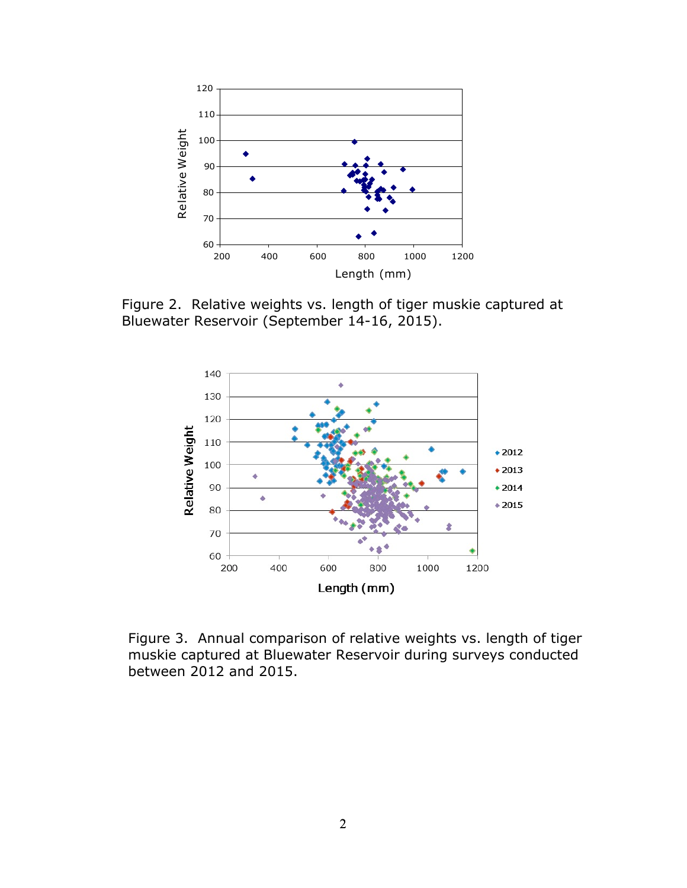

Figure 2. Relative weights vs. length of tiger muskie captured at Bluewater Reservoir (September 14-16, 2015).



Figure 3. Annual comparison of relative weights vs. length of tiger muskie captured at Bluewater Reservoir during surveys conducted between 2012 and 2015.